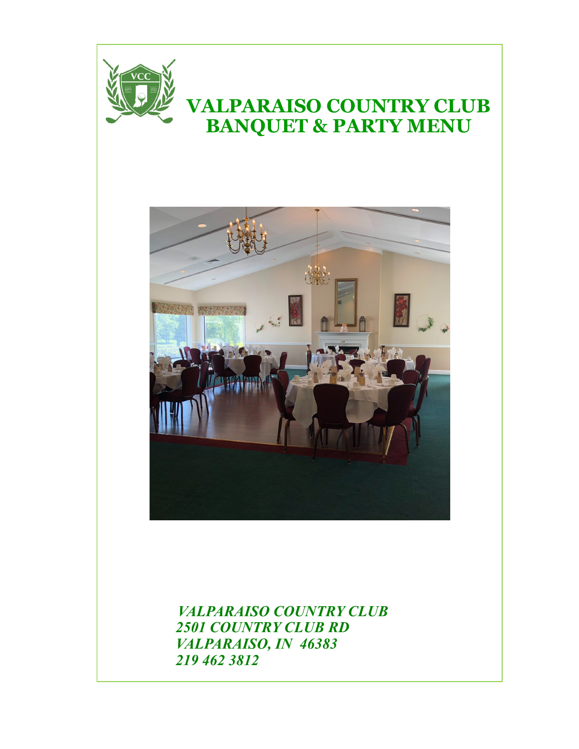

# **VALPARAISO COUNTRY CLUB BANQUET & PARTY MENU**



 *VALPARAISO COUNTRY CLUB 2501 COUNTRY CLUB RD VALPARAISO, IN 46383 219 462 3812*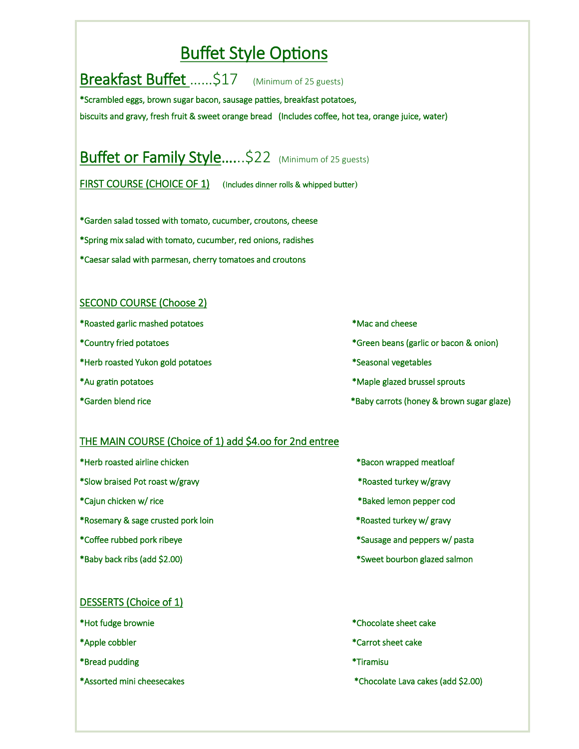## Buffet Style Options

Breakfast Buffet ......\$17 (Minimum of 25 guests) \*Scrambled eggs, brown sugar bacon, sausage patties, breakfast potatoes,

biscuits and gravy, fresh fruit & sweet orange bread (Includes coffee, hot tea, orange juice, water)

# Buffet or Family Style......\$22 (Minimum of 25 guests)

FIRST COURSE (CHOICE OF 1) **(**Includes dinner rolls & whipped butter**)**

\*Garden salad tossed with tomato, cucumber, croutons, cheese \*Spring mix salad with tomato, cucumber, red onions, radishes

\*Caesar salad with parmesan, cherry tomatoes and croutons

#### SECOND COURSE (Choose 2)

- \*Roasted garlic mashed potatoes \*Mac and cheese
- 
- \*Herb roasted Yukon gold potatoes \*Seasonal vegetables
- 
- 
- 
- \*Country fried potatoes \*Green beans (garlic or bacon & onion)
	-
- \*Au gratin potatoes \*Maple glazed brussel sprouts
- \*Garden blend rice \*Baby carrots (honey & brown sugar glaze)

#### THE MAIN COURSE (Choice of 1) add \$4.oo for 2nd entree

- \*Herb roasted airline chicken \*Bacon wrapped meatloaf \*Slow braised Pot roast w/gravy \*Roasted turkey w/gravy \*Cajun chicken w/ rice \*Baked lemon pepper cod \*Rosemary & sage crusted pork loin \*Roasted turkey w/ gravy \*Coffee rubbed pork ribeye \*Sausage and peppers w/ pasta \*Baby back ribs (add \$2.00) \*Sweet bourbon glazed salmon
	-
	-
	-
	-
	-
	-

#### DESSERTS (Choice of 1)

- 
- 
- \*Bread pudding \*Tiramisu
- 
- \*Hot fudge brownie \*Chocolate sheet cake
- \*Apple cobbler \*Carrot sheet cake
	-
- \*Assorted mini cheesecakes \*Chocolate Lava cakes (add \$2.00)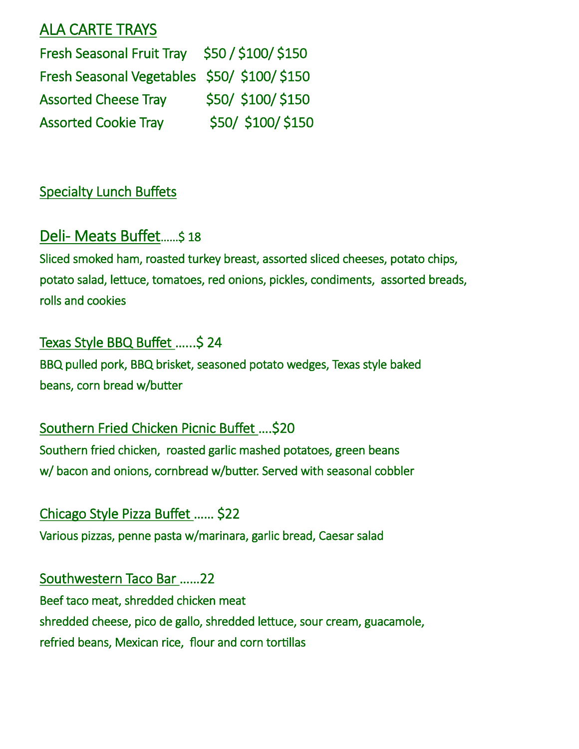#### ALA CARTE TRAYS

Fresh Seasonal Fruit Tray \$50 / \$100/ \$150 Fresh Seasonal Vegetables \$50/ \$100/ \$150 Assorted Cheese Tray \$50/ \$100/ \$150 Assorted Cookie Tray \$50/ \$100/ \$150

### Specialty Lunch Buffets

## Deli- Meats Buffet……\$ 18

Sliced smoked ham, roasted turkey breast, assorted sliced cheeses, potato chips, potato salad, lettuce, tomatoes, red onions, pickles, condiments, assorted breads, rolls and cookies

### Texas Style BBQ Buffet …...\$ 24

BBQ pulled pork, BBQ brisket, seasoned potato wedges, Texas style baked beans, corn bread w/butter

Southern Fried Chicken Picnic Buffet ….\$20 Southern fried chicken, roasted garlic mashed potatoes, green beans w/ bacon and onions, cornbread w/butter. Served with seasonal cobbler

Chicago Style Pizza Buffet …… \$22

Various pizzas, penne pasta w/marinara, garlic bread, Caesar salad

Southwestern Taco Bar ……22 Beef taco meat, shredded chicken meat shredded cheese, pico de gallo, shredded lettuce, sour cream, guacamole, refried beans, Mexican rice, flour and corn tortillas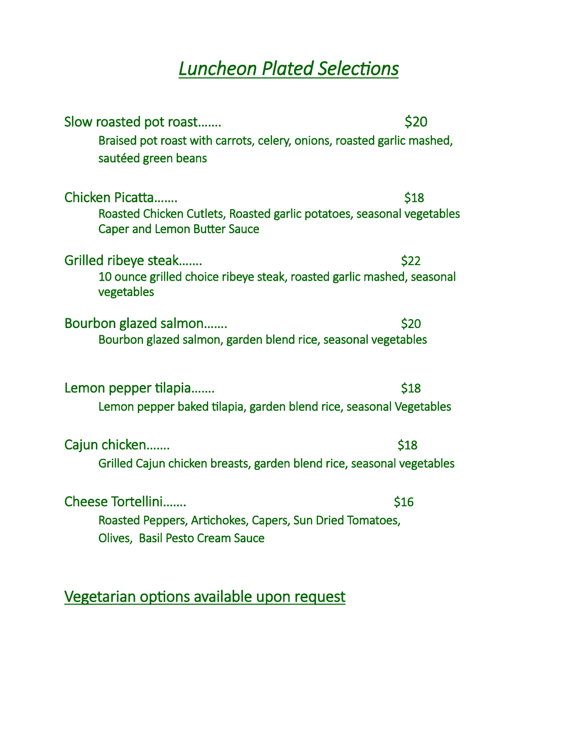# *Luncheon Plated Selections*

| Slow roasted pot roast<br>Braised pot roast with carrots, celery, onions, roasted garlic mashed,<br>sautéed green beans         | \$20 |
|---------------------------------------------------------------------------------------------------------------------------------|------|
| Chicken Picatta<br>Roasted Chicken Cutlets, Roasted garlic potatoes, seasonal vegetables<br><b>Caper and Lemon Butter Sauce</b> | \$18 |
| Grilled ribeye steak<br>10 ounce grilled choice ribeye steak, roasted garlic mashed, seasonal<br>vegetables                     | \$22 |
| Bourbon glazed salmon<br>Bourbon glazed salmon, garden blend rice, seasonal vegetables                                          | \$20 |
| Lemon pepper tilapia<br>Lemon pepper baked tilapia, garden blend rice, seasonal Vegetables                                      | \$18 |
| Cajun chicken<br>Grilled Cajun chicken breasts, garden blend rice, seasonal vegetables                                          | \$18 |
| Cheese Tortellini<br>Roasted Peppers, Artichokes, Capers, Sun Dried Tomatoes,<br>Olives, Basil Pesto Cream Sauce                | \$16 |

Vegetarian options available upon request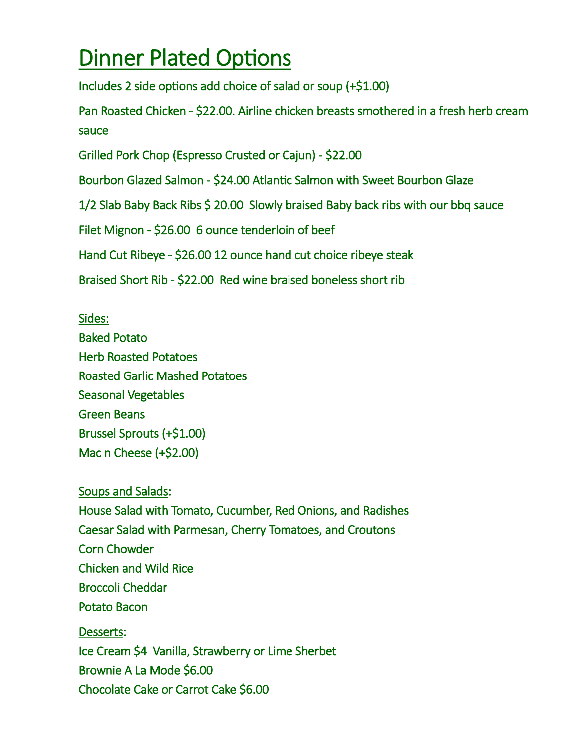# Dinner Plated Options

Includes 2 side options add choice of salad or soup (+\$1.00)

Pan Roasted Chicken - \$22.00. Airline chicken breasts smothered in a fresh herb cream sauce

Grilled Pork Chop (Espresso Crusted or Cajun) - \$22.00

Bourbon Glazed Salmon - \$24.00 Atlantic Salmon with Sweet Bourbon Glaze

1/2 Slab Baby Back Ribs \$ 20.00 Slowly braised Baby back ribs with our bbq sauce

Filet Mignon - \$26.00 6 ounce tenderloin of beef

Hand Cut Ribeye - \$26.00 12 ounce hand cut choice ribeye steak

Braised Short Rib - \$22.00 Red wine braised boneless short rib

Sides: Baked Potato Herb Roasted Potatoes Roasted Garlic Mashed Potatoes Seasonal Vegetables Green Beans Brussel Sprouts (+\$1.00) Mac n Cheese (+\$2.00)

Soups and Salads: House Salad with Tomato, Cucumber, Red Onions, and Radishes Caesar Salad with Parmesan, Cherry Tomatoes, and Croutons Corn Chowder Chicken and Wild Rice Broccoli Cheddar Potato Bacon Desserts: Ice Cream \$4 Vanilla, Strawberry or Lime Sherbet Brownie A La Mode \$6.00 Chocolate Cake or Carrot Cake \$6.00